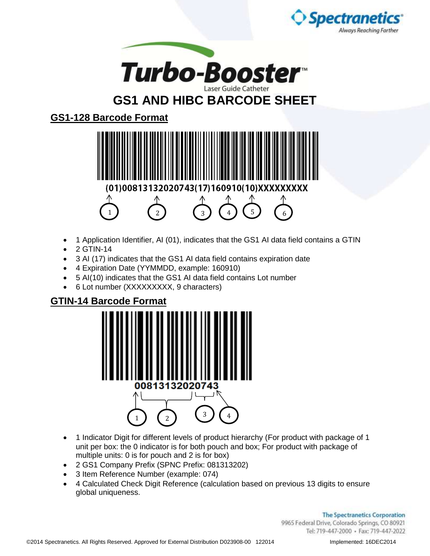



## **GS1 AND HIBC BARCODE SHEET**

**GS1-128 Barcode Format**



- 1 Application Identifier, AI (01), indicates that the GS1 AI data field contains a GTIN
- $\bullet$  2 GTIN-14
- 3 AI (17) indicates that the GS1 AI data field contains expiration date
- 4 Expiration Date (YYMMDD, example: 160910)
- 5 AI(10) indicates that the GS1 AI data field contains Lot number
- 6 Lot number (XXXXXXXXX, 9 characters)

## **GTIN-14 Barcode Format**



- 1 Indicator Digit for different levels of product hierarchy (For product with package of 1 unit per box: the 0 indicator is for both pouch and box; For product with package of multiple units: 0 is for pouch and 2 is for box)
- 2 GS1 Company Prefix (SPNC Prefix: 081313202)
- 3 Item Reference Number (example: 074)
- 4 Calculated Check Digit Reference (calculation based on previous 13 digits to ensure global uniqueness.